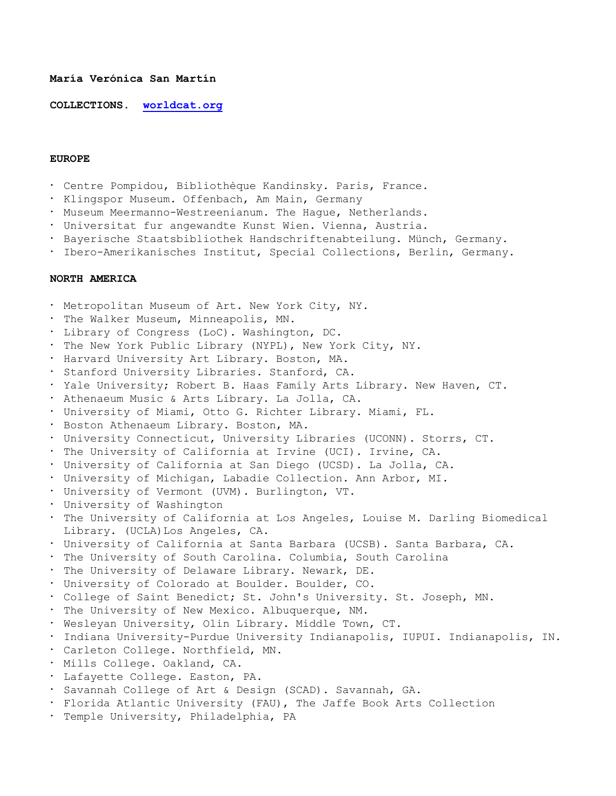## **María Verónica San Martín**

**COLLECTIONS. worldcat.org**

## **EUROPE**

- Centre Pompidou, Bibliothèque Kandinsky. Paris, France.
- · Klingspor Museum. Offenbach, Am Main, Germany
- . Museum Meermanno-Westreenianum. The Hague, Netherlands.
- Universitat fur angewandte Kunst Wien. Vienna, Austria.
- Bayerische Staatsbibliothek Handschriftenabteilung. Münch, Germany.
- . Ibero-Amerikanisches Institut, Special Collections, Berlin, Germany.

## **NORTH AMERICA**

- Metropolitan Museum of Art. New York City, NY.
- . The Walker Museum, Minneapolis, MN.
- Library of Congress (LoC). Washington, DC.
- . The New York Public Library (NYPL), New York City, NY.
- Harvard University Art Library. Boston, MA.
- . Stanford University Libraries. Stanford, CA.
- . Yale University; Robert B. Haas Family Arts Library. New Haven, CT.
- Athenaeum Music & Arts Library. La Jolla, CA.
- University of Miami, Otto G. Richter Library. Miami, FL.
- . Boston Athenaeum Library. Boston, MA.
- University Connecticut, University Libraries (UCONN). Storrs, CT.
- . The University of California at Irvine (UCI). Irvine, CA.
- University of California at San Diego (UCSD). La Jolla, CA.
- University of Michigan, Labadie Collection. Ann Arbor, MI.
- University of Vermont (UVM). Burlington, VT.
- University of Washington
- . The University of California at Los Angeles, Louise M. Darling Biomedical Library. (UCLA)Los Angeles, CA.
- University of California at Santa Barbara (UCSB). Santa Barbara, CA.
- . The University of South Carolina. Columbia, South Carolina
- . The University of Delaware Library. Newark, DE.
- University of Colorado at Boulder. Boulder, CO.
- College of Saint Benedict; St. John's University. St. Joseph, MN.
- The University of New Mexico. Albuquerque, NM.
- Wesleyan University, Olin Library. Middle Town, CT.
- Indiana University-Purdue University Indianapolis, IUPUI. Indianapolis, IN.
- Carleton College. Northfield, MN.
- Mills College. Oakland, CA.
- Lafayette College. Easton, PA.
- Savannah College of Art & Design (SCAD). Savannah, GA.
- Florida Atlantic University (FAU), The Jaffe Book Arts Collection
- . Temple University, Philadelphia, PA